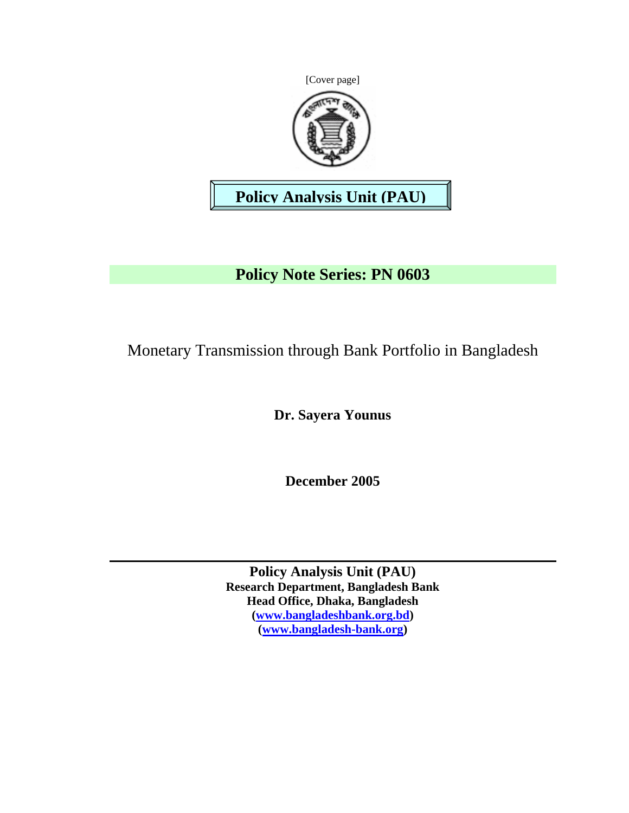[Cover page]



# **Policy Analysis Unit (PAU)**

# **Policy Note Series: PN 0603**

Monetary Transmission through Bank Portfolio in Bangladesh

**Dr. Sayera Younus** 

**December 2005** 

**Policy Analysis Unit (PAU) Research Department, Bangladesh Bank Head Office, Dhaka, Bangladesh (www.bangladeshbank.org.bd) (www.bangladesh-bank.org)**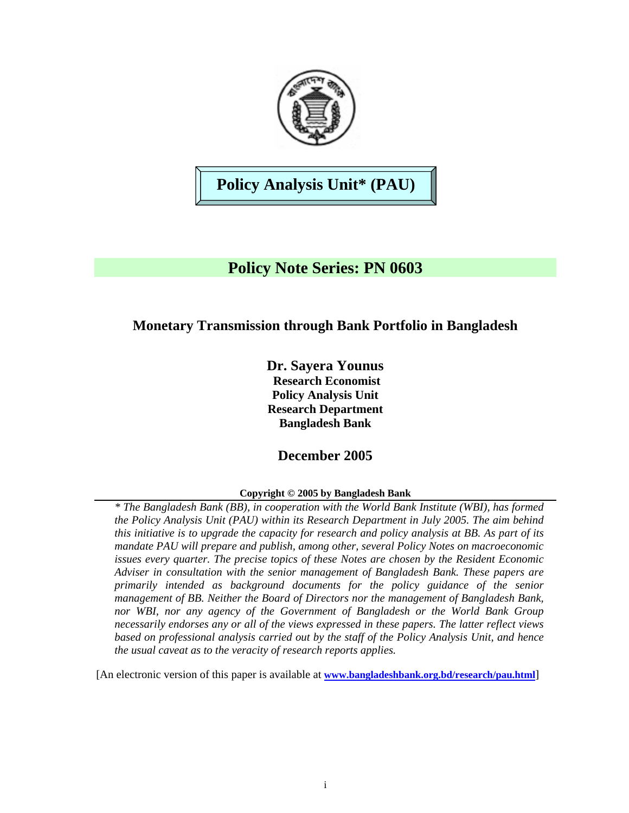

# **Policy Analysis Unit\* (PAU)**

## **Policy Note Series: PN 0603**

## **Monetary Transmission through Bank Portfolio in Bangladesh**

**Dr. Sayera Younus Research Economist Policy Analysis Unit Research Department Bangladesh Bank** 

## **December 2005**

### **Copyright © 2005 by Bangladesh Bank**

*\* The Bangladesh Bank (BB), in cooperation with the World Bank Institute (WBI), has formed the Policy Analysis Unit (PAU) within its Research Department in July 2005. The aim behind this initiative is to upgrade the capacity for research and policy analysis at BB. As part of its mandate PAU will prepare and publish, among other, several Policy Notes on macroeconomic issues every quarter. The precise topics of these Notes are chosen by the Resident Economic Adviser in consultation with the senior management of Bangladesh Bank. These papers are primarily intended as background documents for the policy guidance of the senior management of BB. Neither the Board of Directors nor the management of Bangladesh Bank, nor WBI, nor any agency of the Government of Bangladesh or the World Bank Group necessarily endorses any or all of the views expressed in these papers. The latter reflect views based on professional analysis carried out by the staff of the Policy Analysis Unit, and hence the usual caveat as to the veracity of research reports applies.*

[An electronic version of this paper is available at **www.bangladeshbank.org.bd/research/pau.html**]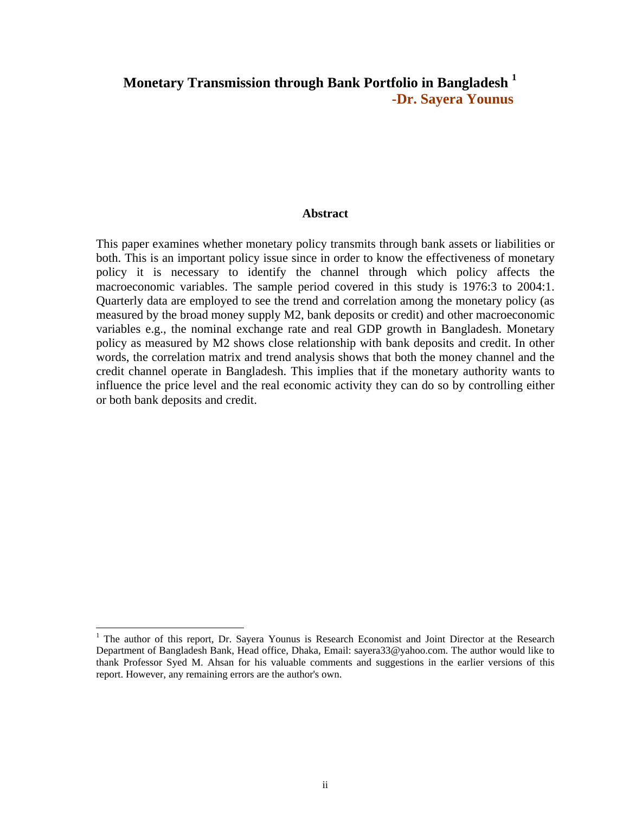## **Monetary Transmission through Bank Portfolio in Bangladesh <sup>1</sup> -Dr. Sayera Younus**

#### **Abstract**

This paper examines whether monetary policy transmits through bank assets or liabilities or both. This is an important policy issue since in order to know the effectiveness of monetary policy it is necessary to identify the channel through which policy affects the macroeconomic variables. The sample period covered in this study is 1976:3 to 2004:1. Quarterly data are employed to see the trend and correlation among the monetary policy (as measured by the broad money supply M2, bank deposits or credit) and other macroeconomic variables e.g., the nominal exchange rate and real GDP growth in Bangladesh. Monetary policy as measured by M2 shows close relationship with bank deposits and credit. In other words, the correlation matrix and trend analysis shows that both the money channel and the credit channel operate in Bangladesh. This implies that if the monetary authority wants to influence the price level and the real economic activity they can do so by controlling either or both bank deposits and credit.

l

<sup>&</sup>lt;sup>1</sup> The author of this report, Dr. Sayera Younus is Research Economist and Joint Director at the Research Department of Bangladesh Bank, Head office, Dhaka, Email: sayera33@yahoo.com. The author would like to thank Professor Syed M. Ahsan for his valuable comments and suggestions in the earlier versions of this report. However, any remaining errors are the author's own.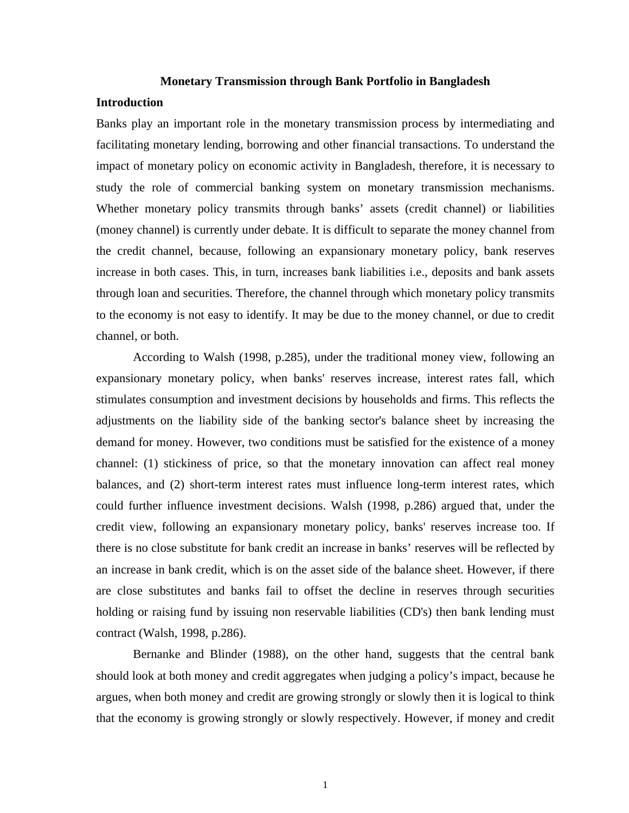#### **Monetary Transmission through Bank Portfolio in Bangladesh**

#### **Introduction**

Banks play an important role in the monetary transmission process by intermediating and facilitating monetary lending, borrowing and other financial transactions. To understand the impact of monetary policy on economic activity in Bangladesh, therefore, it is necessary to study the role of commercial banking system on monetary transmission mechanisms. Whether monetary policy transmits through banks' assets (credit channel) or liabilities (money channel) is currently under debate. It is difficult to separate the money channel from the credit channel, because, following an expansionary monetary policy, bank reserves increase in both cases. This, in turn, increases bank liabilities i.e., deposits and bank assets through loan and securities. Therefore, the channel through which monetary policy transmits to the economy is not easy to identify. It may be due to the money channel, or due to credit channel, or both.

 According to Walsh (1998, p.285), under the traditional money view, following an expansionary monetary policy, when banks' reserves increase, interest rates fall, which stimulates consumption and investment decisions by households and firms. This reflects the adjustments on the liability side of the banking sector's balance sheet by increasing the demand for money. However, two conditions must be satisfied for the existence of a money channel: (1) stickiness of price, so that the monetary innovation can affect real money balances, and (2) short-term interest rates must influence long-term interest rates, which could further influence investment decisions. Walsh (1998, p.286) argued that, under the credit view, following an expansionary monetary policy, banks' reserves increase too. If there is no close substitute for bank credit an increase in banks' reserves will be reflected by an increase in bank credit, which is on the asset side of the balance sheet. However, if there are close substitutes and banks fail to offset the decline in reserves through securities holding or raising fund by issuing non reservable liabilities (CD's) then bank lending must contract (Walsh, 1998, p.286).

 Bernanke and Blinder (1988), on the other hand, suggests that the central bank should look at both money and credit aggregates when judging a policy's impact, because he argues, when both money and credit are growing strongly or slowly then it is logical to think that the economy is growing strongly or slowly respectively. However, if money and credit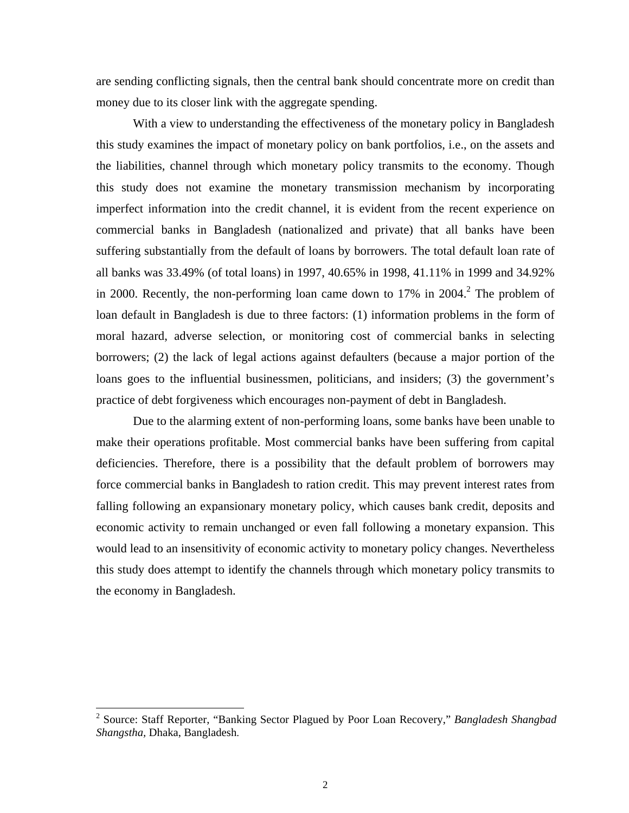are sending conflicting signals, then the central bank should concentrate more on credit than money due to its closer link with the aggregate spending.

 With a view to understanding the effectiveness of the monetary policy in Bangladesh this study examines the impact of monetary policy on bank portfolios, i.e., on the assets and the liabilities, channel through which monetary policy transmits to the economy. Though this study does not examine the monetary transmission mechanism by incorporating imperfect information into the credit channel, it is evident from the recent experience on commercial banks in Bangladesh (nationalized and private) that all banks have been suffering substantially from the default of loans by borrowers. The total default loan rate of all banks was 33.49% (of total loans) in 1997, 40.65% in 1998, 41.11% in 1999 and 34.92% in 2000. Recently, the non-performing loan came down to  $17\%$  in  $2004$ <sup>2</sup>. The problem of loan default in Bangladesh is due to three factors: (1) information problems in the form of moral hazard, adverse selection, or monitoring cost of commercial banks in selecting borrowers; (2) the lack of legal actions against defaulters (because a major portion of the loans goes to the influential businessmen, politicians, and insiders; (3) the government's practice of debt forgiveness which encourages non-payment of debt in Bangladesh.

 Due to the alarming extent of non-performing loans, some banks have been unable to make their operations profitable. Most commercial banks have been suffering from capital deficiencies. Therefore, there is a possibility that the default problem of borrowers may force commercial banks in Bangladesh to ration credit. This may prevent interest rates from falling following an expansionary monetary policy, which causes bank credit, deposits and economic activity to remain unchanged or even fall following a monetary expansion. This would lead to an insensitivity of economic activity to monetary policy changes. Nevertheless this study does attempt to identify the channels through which monetary policy transmits to the economy in Bangladesh.

l

<sup>2</sup> Source: Staff Reporter, "Banking Sector Plagued by Poor Loan Recovery," *Bangladesh Shangbad Shangstha,* Dhaka, Bangladesh.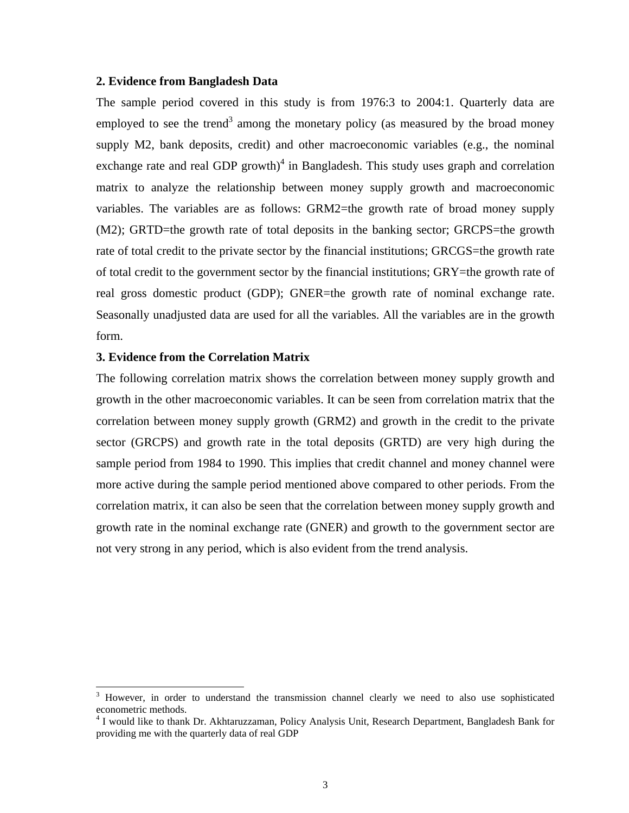#### **2. Evidence from Bangladesh Data**

The sample period covered in this study is from 1976:3 to 2004:1. Quarterly data are employed to see the trend<sup>3</sup> among the monetary policy (as measured by the broad money supply M2, bank deposits, credit) and other macroeconomic variables (e.g., the nominal exchange rate and real GDP growth)<sup>4</sup> in Bangladesh. This study uses graph and correlation matrix to analyze the relationship between money supply growth and macroeconomic variables. The variables are as follows: GRM2=the growth rate of broad money supply (M2); GRTD=the growth rate of total deposits in the banking sector; GRCPS=the growth rate of total credit to the private sector by the financial institutions; GRCGS=the growth rate of total credit to the government sector by the financial institutions; GRY=the growth rate of real gross domestic product (GDP); GNER=the growth rate of nominal exchange rate. Seasonally unadjusted data are used for all the variables. All the variables are in the growth form.

#### **3. Evidence from the Correlation Matrix**

l

The following correlation matrix shows the correlation between money supply growth and growth in the other macroeconomic variables. It can be seen from correlation matrix that the correlation between money supply growth (GRM2) and growth in the credit to the private sector (GRCPS) and growth rate in the total deposits (GRTD) are very high during the sample period from 1984 to 1990. This implies that credit channel and money channel were more active during the sample period mentioned above compared to other periods. From the correlation matrix, it can also be seen that the correlation between money supply growth and growth rate in the nominal exchange rate (GNER) and growth to the government sector are not very strong in any period, which is also evident from the trend analysis.

<sup>&</sup>lt;sup>3</sup> However, in order to understand the transmission channel clearly we need to also use sophisticated econometric methods.

<sup>&</sup>lt;sup>4</sup> I would like to thank Dr. Akhtaruzzaman, Policy Analysis Unit, Research Department, Bangladesh Bank for providing me with the quarterly data of real GDP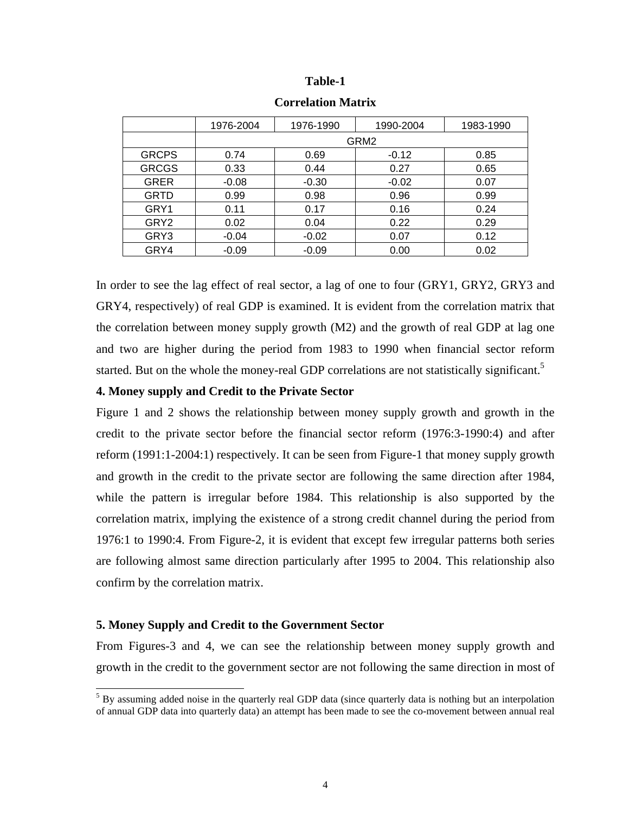#### **Table-1**

|                  | 1976-2004 | 1976-1990 | 1990-2004 | 1983-1990 |
|------------------|-----------|-----------|-----------|-----------|
|                  | GRM2      |           |           |           |
| <b>GRCPS</b>     | 0.74      | 0.69      | $-0.12$   | 0.85      |
| <b>GRCGS</b>     | 0.33      | 0.44      | 0.27      | 0.65      |
| <b>GRER</b>      | $-0.08$   | $-0.30$   | $-0.02$   | 0.07      |
| <b>GRTD</b>      | 0.99      | 0.98      | 0.96      | 0.99      |
| GRY1             | 0.11      | 0.17      | 0.16      | 0.24      |
| GRY <sub>2</sub> | 0.02      | 0.04      | 0.22      | 0.29      |
| GRY3             | $-0.04$   | $-0.02$   | 0.07      | 0.12      |
| GRY4             | $-0.09$   | $-0.09$   | 0.00      | 0.02      |

**Correlation Matrix** 

In order to see the lag effect of real sector, a lag of one to four (GRY1, GRY2, GRY3 and GRY4, respectively) of real GDP is examined. It is evident from the correlation matrix that the correlation between money supply growth (M2) and the growth of real GDP at lag one and two are higher during the period from 1983 to 1990 when financial sector reform started. But on the whole the money-real GDP correlations are not statistically significant.<sup>5</sup>

#### **4. Money supply and Credit to the Private Sector**

Figure 1 and 2 shows the relationship between money supply growth and growth in the credit to the private sector before the financial sector reform (1976:3-1990:4) and after reform (1991:1-2004:1) respectively. It can be seen from Figure-1 that money supply growth and growth in the credit to the private sector are following the same direction after 1984, while the pattern is irregular before 1984. This relationship is also supported by the correlation matrix, implying the existence of a strong credit channel during the period from 1976:1 to 1990:4. From Figure-2, it is evident that except few irregular patterns both series are following almost same direction particularly after 1995 to 2004. This relationship also confirm by the correlation matrix.

#### **5. Money Supply and Credit to the Government Sector**

l

From Figures-3 and 4, we can see the relationship between money supply growth and growth in the credit to the government sector are not following the same direction in most of

<sup>&</sup>lt;sup>5</sup> By assuming added noise in the quarterly real GDP data (since quarterly data is nothing but an interpolation of annual GDP data into quarterly data) an attempt has been made to see the co-movement between annual real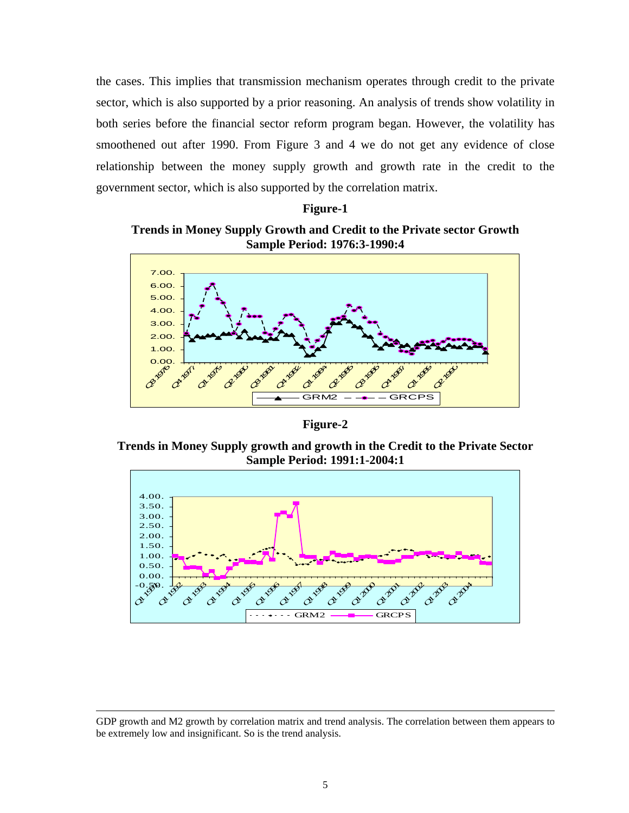the cases. This implies that transmission mechanism operates through credit to the private sector, which is also supported by a prior reasoning. An analysis of trends show volatility in both series before the financial sector reform program began. However, the volatility has smoothened out after 1990. From Figure 3 and 4 we do not get any evidence of close relationship between the money supply growth and growth rate in the credit to the government sector, which is also supported by the correlation matrix.

#### **Figure-1**

**Trends in Money Supply Growth and Credit to the Private sector Growth Sample Period: 1976:3-1990:4** 



**Figure-2** 

**Trends in Money Supply growth and growth in the Credit to the Private Sector Sample Period: 1991:1-2004:1** 



l

GDP growth and M2 growth by correlation matrix and trend analysis. The correlation between them appears to be extremely low and insignificant. So is the trend analysis.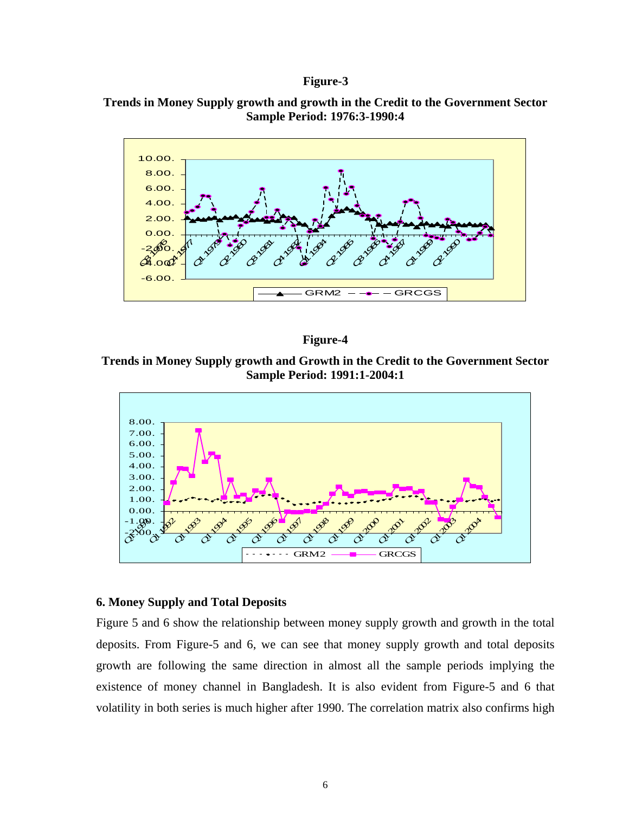#### **Figure-3**







**Trends in Money Supply growth and Growth in the Credit to the Government Sector Sample Period: 1991:1-2004:1** 



#### **6. Money Supply and Total Deposits**

Figure 5 and 6 show the relationship between money supply growth and growth in the total deposits. From Figure-5 and 6, we can see that money supply growth and total deposits growth are following the same direction in almost all the sample periods implying the existence of money channel in Bangladesh. It is also evident from Figure-5 and 6 that volatility in both series is much higher after 1990. The correlation matrix also confirms high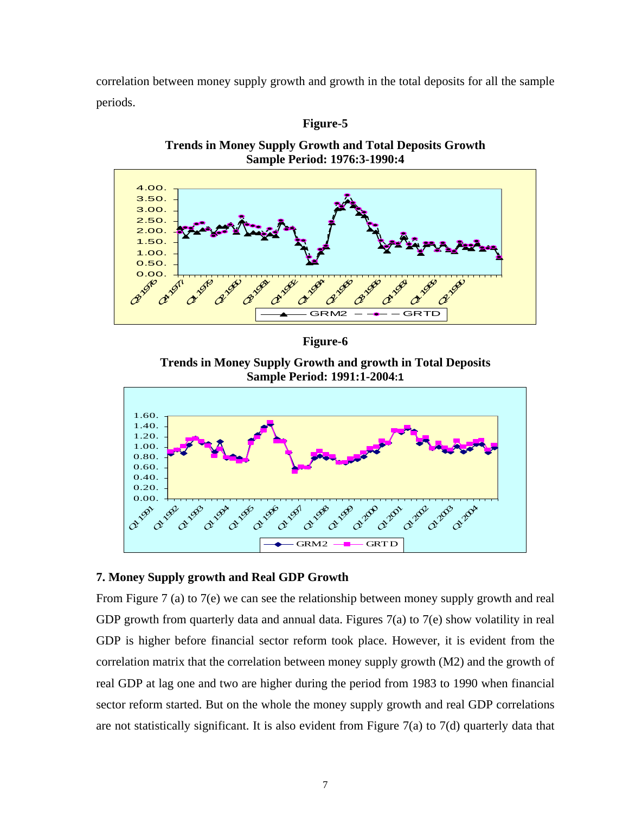correlation between money supply growth and growth in the total deposits for all the sample periods.





**Trends in Money Supply Growth and Total Deposits Growth** 

**Figure-6** 

**Trends in Money Supply Growth and growth in Total Deposits Sample Period: 1991:1-2004:1**



### **7. Money Supply growth and Real GDP Growth**

From Figure 7 (a) to 7(e) we can see the relationship between money supply growth and real GDP growth from quarterly data and annual data. Figures 7(a) to 7(e) show volatility in real GDP is higher before financial sector reform took place. However, it is evident from the correlation matrix that the correlation between money supply growth (M2) and the growth of real GDP at lag one and two are higher during the period from 1983 to 1990 when financial sector reform started. But on the whole the money supply growth and real GDP correlations are not statistically significant. It is also evident from Figure  $7(a)$  to  $7(d)$  quarterly data that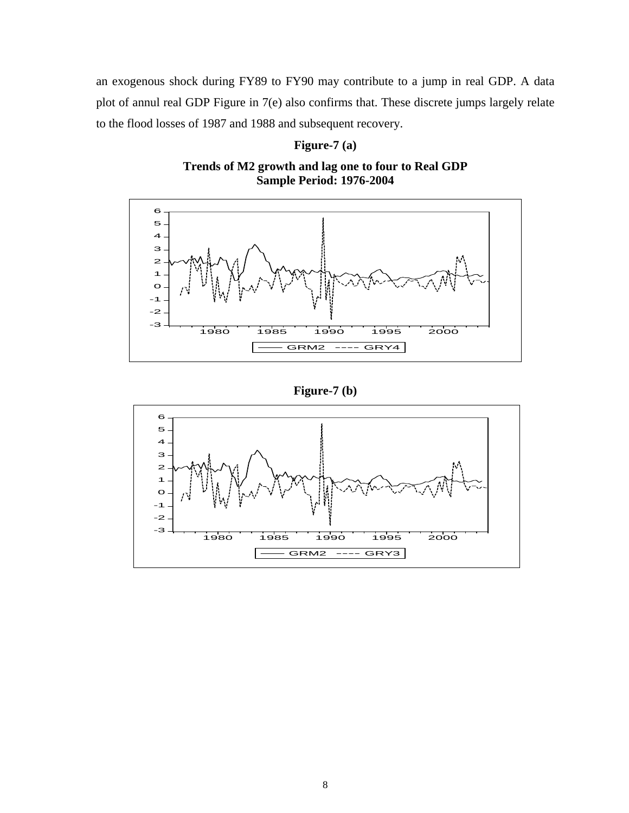an exogenous shock during FY89 to FY90 may contribute to a jump in real GDP. A data plot of annul real GDP Figure in 7(e) also confirms that. These discrete jumps largely relate to the flood losses of 1987 and 1988 and subsequent recovery.

### **Figure-7 (a)**

**Trends of M2 growth and lag one to four to Real GDP Sample Period: 1976-2004** 



**Figure-7 (b)** 

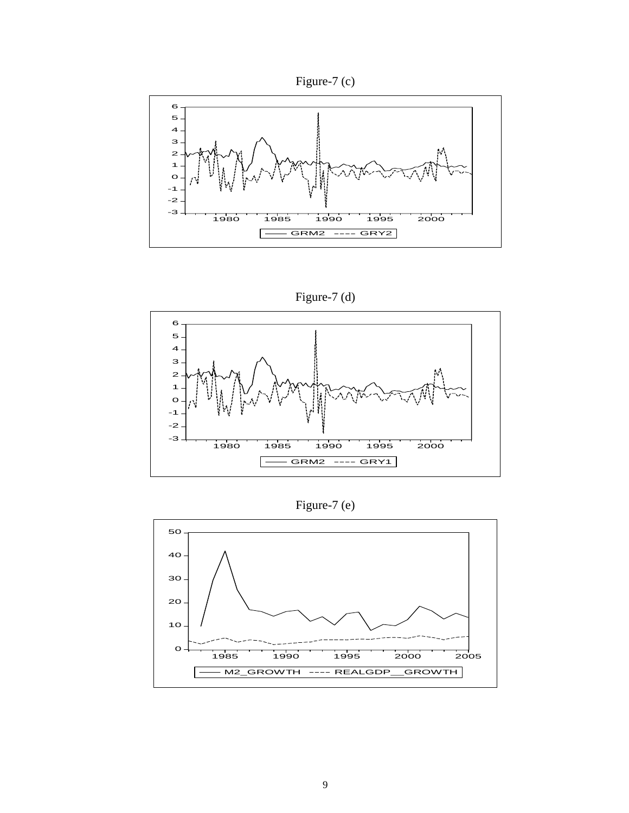



Figure-7 (d)



Figure-7 (e)

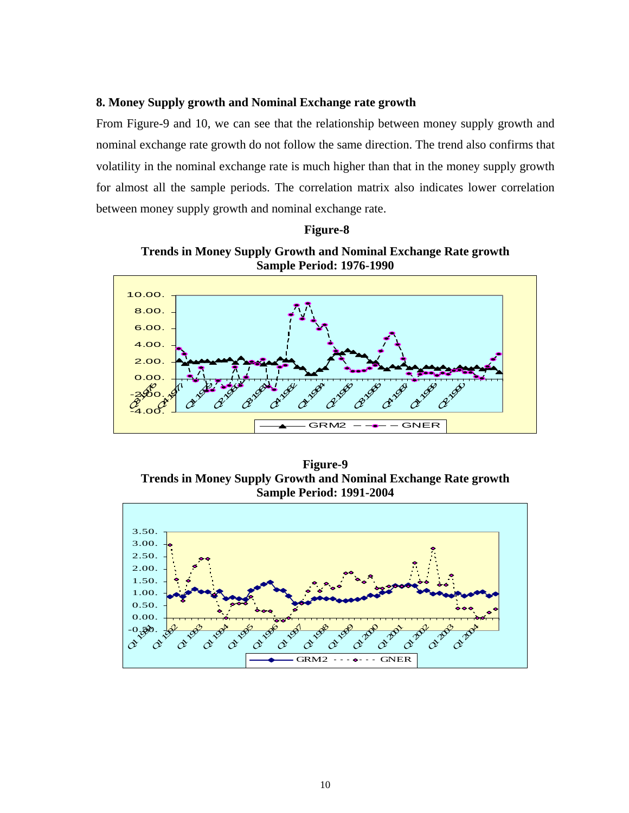#### **8. Money Supply growth and Nominal Exchange rate growth**

From Figure-9 and 10, we can see that the relationship between money supply growth and nominal exchange rate growth do not follow the same direction. The trend also confirms that volatility in the nominal exchange rate is much higher than that in the money supply growth for almost all the sample periods. The correlation matrix also indicates lower correlation between money supply growth and nominal exchange rate.

#### **Figure-8**

**Trends in Money Supply Growth and Nominal Exchange Rate growth Sample Period: 1976-1990** 



**Figure-9 Trends in Money Supply Growth and Nominal Exchange Rate growth Sample Period: 1991-2004**